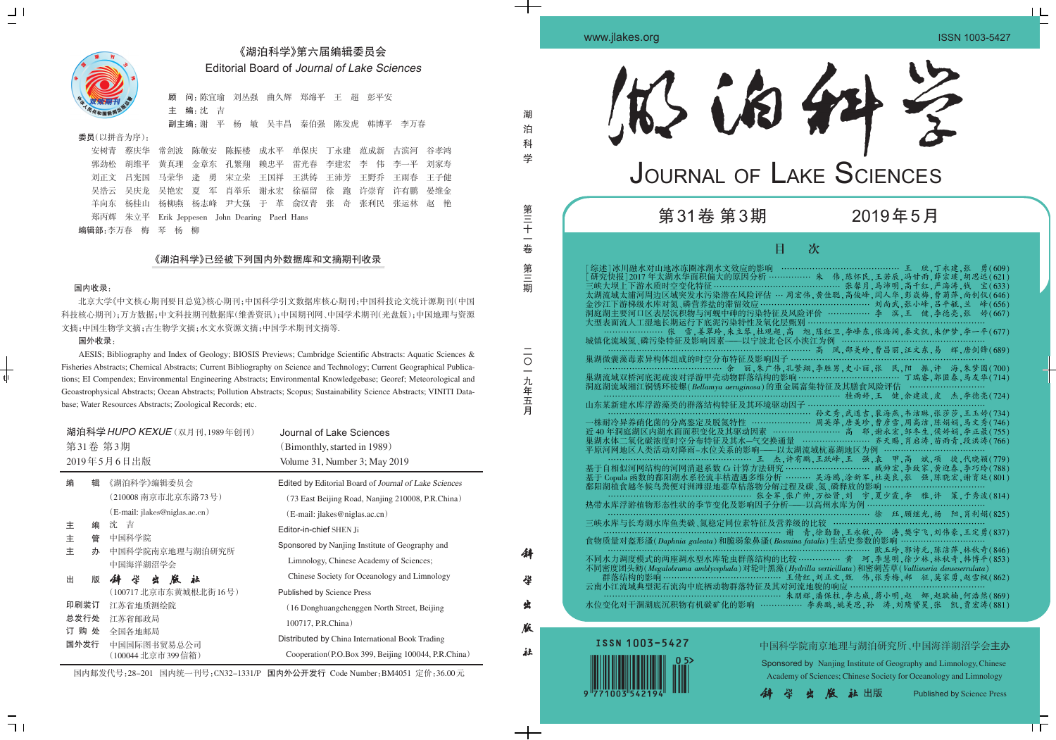

## 2019年5月

中国科学院南京地理与湖泊研究所、中国海洋湖沼学会主办

湖 泊 科 学

> 第 三 十 一 卷

第 三 期

一九年五

 $\overline{\phantom{a}}$ 九 年五

月

徘

学

虫

版

社



 $\frac{1}{1}$ 

 $\sqsupset$  1

Sponsored by Nanjing Institute of Geography and Limnology,Chinese Academy of Sciences; Chinese Society for Oceanology and Limnology

**火版社出版** Published by Science Press

## 《湖泊科学》第六届编辑委员会 Editorial Board of Journal of Lake Sciences

顾 问:陈宜瑜 刘丛强 曲久辉 郑绵平 王 超 彭平安 主 编:沈 吉

副主编:谢 平 杨 敏 吴丰昌 秦伯强 陈发虎 韩博平 李万春

## 委员(以拼音为序):

安树青 蔡庆华 常剑波 陈敬安 陈振楼 成水平 单保庆 丁永建 范成新 古滨河 谷孝鸿 郭劲松 胡维平 黄真理 金章东 孔繁翔 赖忠平 雷光春 李建宏 李 伟 李一平 刘家寿 刘正文 吕宪国 马荣华 逄 勇 宋立荣 王国祥 王洪铸 王沛芳 王野乔 王雨春 王子健 吴浩云 吴庆龙 吴艳宏 夏 军 肖举乐 谢永宏 徐福留 徐 跑 许崇育 许有鹏 晏维金 羊向东 杨桂山 杨柳燕 杨志峰 尹大强 于 革 俞汉青 张 奇 张利民 张运林 赵 艳 郑丙辉 朱立平 Erik Jeppesen John Dearing Paerl Hans 编辑部:李万春 梅 琴 杨 柳

## 《湖泊科学》已经被下列国内外数据库和文摘期刊收录

### 国内收录:

北京大学《中文核心期刊要目总览》核心期刊;中国科学引文数据库核心期刊;中国科技论文统计源期刊(中国 科技核心期刊);万方数据;中文科技期刊数据库(维普资讯);中国期刊网、中国学术期刊(光盘版);中国地理与资源 文摘;中国生物学文摘;古生物学文摘;水文水资源文摘;中国学术期刊文摘等.

## 国外收录:

AESIS; Bibliography and Index of Geology; BIOSIS Previews; Cambridge Scientific Abstracts: Aquatic Sciences & Fisheries Abstracts; Chemical Abstracts; Current Bibliography on Science and Technology; Current Geographical Publications; EI Compendex; Environmental Engineering Abstracts; Environmental Knowledgebase; Georef; Meteorological and Geoastrophysical Abstracts; Ocean Abstracts; Pollution Abstracts; Scopus; Sustainability Science Abstracts; VINITI Database; Water Resources Abstracts; Zoological Records; etc.

| 湖泊科学 HUPO KEXUE (双月刊,1989年创刊)<br>第31卷 第3期<br>2019年5月6日出版 |        |                                  | Journal of Lake Sciences<br>(Bimonthly, started in 1989)<br>Volume 31, Number 3; May 2019 |
|----------------------------------------------------------|--------|----------------------------------|-------------------------------------------------------------------------------------------|
| 编                                                        | 辑      | 《湖泊科学》编辑委员会                      | Edited by Editorial Board of Journal of Lake Sciences                                     |
|                                                          |        | (210008 南京市北京东路73号)              | (73 East Beijing Road, Nanjing 210008, P.R.China)                                         |
|                                                          |        | (E-mail: jlakes@niglas.ac.cn)    | (E-mail: jlakes@niglas.ac.cn)                                                             |
| 主                                                        | 编      | 沈 吉                              | Editor-in-chief SHEN Ji                                                                   |
| 主<br>主                                                   | 管<br>办 | 中国科学院<br>中国科学院南京地理与湖泊研究所         | Sponsored by Nanjing Institute of Geography and                                           |
|                                                          |        | 中国海洋湖沼学会                         | Limnology, Chinese Academy of Sciences;                                                   |
| 出                                                        | 版      | 学<br>社<br>蜚<br>版<br>44           | Chinese Society for Oceanology and Limnology                                              |
|                                                          |        | (100717 北京市东黄城根北街16号)            | <b>Published by Science Press</b>                                                         |
| 印刷装订                                                     |        | 江苏省地质测绘院                         | (16 Donghuangchenggen North Street, Beijing                                               |
|                                                          | 总发行处   | 江苏省邮政局                           | 100717, P.R.China)                                                                        |
| 订购处                                                      |        | 全国各地邮局                           | Distributed by China International Book Trading                                           |
| 国外发行                                                     |        | 中国国际图书贸易总公司<br>(100044 北京市399信箱) | Cooperation (P.O.Box 399, Beijing 100044, P.R.China)                                      |

国内邮发代号:28-201 国内统一刊号:CN32-1331/P 国内外公开发行 Code Number:BM4051 定价:36.00元

| <b>JOURNAL OF LAKE SCIENCES</b><br>第31卷 第3期<br>2019年5月<br>目<br>次<br>大型表面流人工湿地长期运行下底泥污染特性及氧化层甄别 ……………………<br>巢湖微囊藻毒素异构体组成的时空分布特征及影响因子 ………………<br>山东某新建水库浮游藻类的群落结构特征及其环境驱动因子 ……<br>三峡水库与长寿湖水库鱼类碳、氮稳定同位素特征及营养级的比较 ……………………<br>食物质量对盔形溞(Daphnia galeata)和脆弱象鼻溞(Bosmina fatalis)生活史参数的影响 ………………<br>………………………………………… 欧玉玲,郭诗元,陈洁萍,林秋奇(846)<br>不同密度团头鲂(Megalobrama amblycephala)对轮叶黑藻(Hydrilla verticillata)和密刺苦草(Vallisneria denseserrulata)<br>……………………… 朱朋辉,潘保柱,李志威,蒋小明,赵 娜,赵耿楠,何浩然(869)<br>水位变化对干涸湖底沉积物有机碳矿化的影响 ……………… 李典鹏,姚美思,孙 涛,刘隋赟昊,张 凯,贾宏涛(881) | 1松的种名 |  |
|------------------------------------------------------------------------------------------------------------------------------------------------------------------------------------------------------------------------------------------------------------------------------------------------------------------------------------------------------------------------------------------------------------------------------------------------------------------------------------------------------------------------------------------------|-------|--|
|                                                                                                                                                                                                                                                                                                                                                                                                                                                                                                                                                |       |  |
|                                                                                                                                                                                                                                                                                                                                                                                                                                                                                                                                                |       |  |
|                                                                                                                                                                                                                                                                                                                                                                                                                                                                                                                                                |       |  |
|                                                                                                                                                                                                                                                                                                                                                                                                                                                                                                                                                |       |  |
|                                                                                                                                                                                                                                                                                                                                                                                                                                                                                                                                                |       |  |



学

www.jlakes.org ISSN 1003-5427

 $\perp$